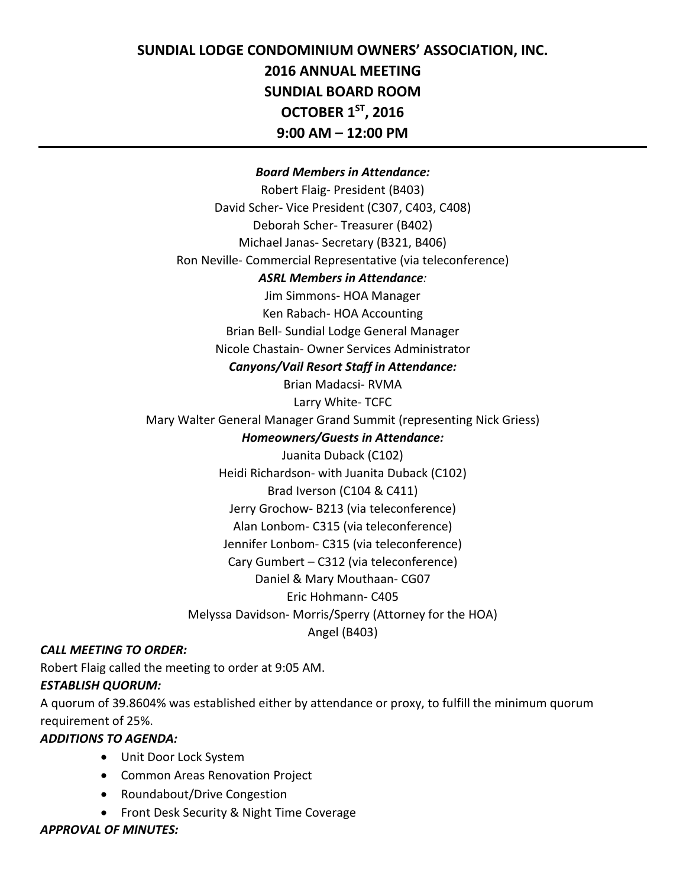# **SUNDIAL LODGE CONDOMINIUM OWNERS' ASSOCIATION, INC. 2016 ANNUAL MEETING SUNDIAL BOARD ROOM OCTOBER 1ST, 2016 9:00 AM – 12:00 PM**

#### *Board Members in Attendance:*

Robert Flaig- President (B403) David Scher- Vice President (C307, C403, C408) Deborah Scher- Treasurer (B402) Michael Janas- Secretary (B321, B406) Ron Neville- Commercial Representative (via teleconference) *ASRL Members in Attendance:* Jim Simmons- HOA Manager Ken Rabach- HOA Accounting Brian Bell- Sundial Lodge General Manager Nicole Chastain- Owner Services Administrator *Canyons/Vail Resort Staff in Attendance:* Brian Madacsi- RVMA Larry White- TCFC Mary Walter General Manager Grand Summit (representing Nick Griess) *Homeowners/Guests in Attendance:* Juanita Duback (C102) Heidi Richardson- with Juanita Duback (C102) Brad Iverson (C104 & C411) Jerry Grochow- B213 (via teleconference) Alan Lonbom- C315 (via teleconference) Jennifer Lonbom- C315 (via teleconference) Cary Gumbert – C312 (via teleconference) Daniel & Mary Mouthaan- CG07 Eric Hohmann- C405 Melyssa Davidson- Morris/Sperry (Attorney for the HOA) Angel (B403)

#### *CALL MEETING TO ORDER:*

Robert Flaig called the meeting to order at 9:05 AM.

#### *ESTABLISH QUORUM:*

A quorum of 39.8604% was established either by attendance or proxy, to fulfill the minimum quorum requirement of 25%.

#### *ADDITIONS TO AGENDA:*

- Unit Door Lock System
- Common Areas Renovation Project
- Roundabout/Drive Congestion
- Front Desk Security & Night Time Coverage

#### *APPROVAL OF MINUTES:*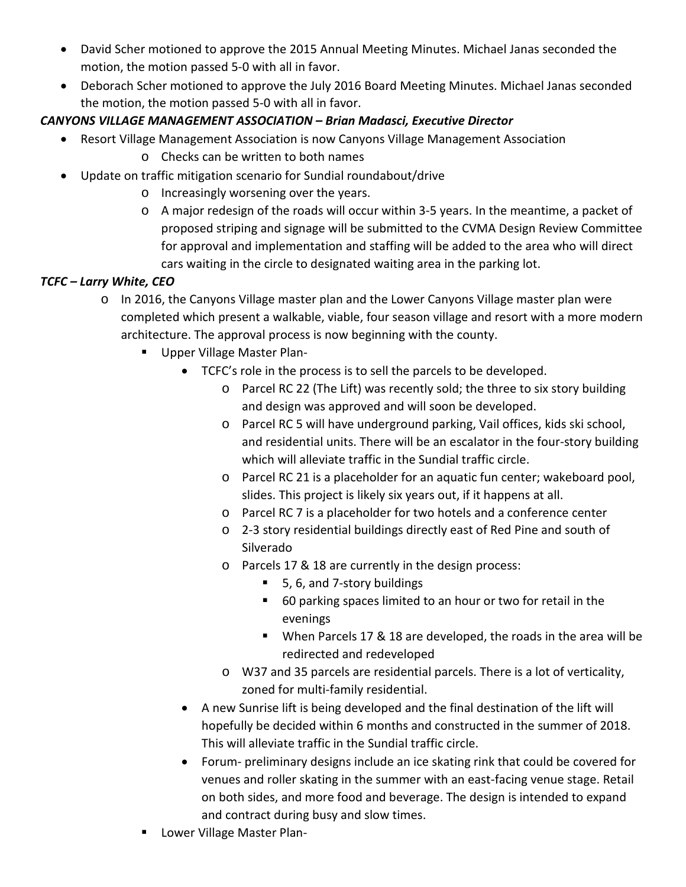- David Scher motioned to approve the 2015 Annual Meeting Minutes. Michael Janas seconded the motion, the motion passed 5-0 with all in favor.
- Deborach Scher motioned to approve the July 2016 Board Meeting Minutes. Michael Janas seconded the motion, the motion passed 5-0 with all in favor.

## *CANYONS VILLAGE MANAGEMENT ASSOCIATION – Brian Madasci, Executive Director*

- Resort Village Management Association is now Canyons Village Management Association
	- o Checks can be written to both names
- Update on traffic mitigation scenario for Sundial roundabout/drive
	- o Increasingly worsening over the years.
	- o A major redesign of the roads will occur within 3-5 years. In the meantime, a packet of proposed striping and signage will be submitted to the CVMA Design Review Committee for approval and implementation and staffing will be added to the area who will direct cars waiting in the circle to designated waiting area in the parking lot.

## *TCFC – Larry White, CEO*

- o In 2016, the Canyons Village master plan and the Lower Canyons Village master plan were completed which present a walkable, viable, four season village and resort with a more modern architecture. The approval process is now beginning with the county.
	- **Upper Village Master Plan-**
		- TCFC's role in the process is to sell the parcels to be developed.
			- o Parcel RC 22 (The Lift) was recently sold; the three to six story building and design was approved and will soon be developed.
			- o Parcel RC 5 will have underground parking, Vail offices, kids ski school, and residential units. There will be an escalator in the four-story building which will alleviate traffic in the Sundial traffic circle.
			- o Parcel RC 21 is a placeholder for an aquatic fun center; wakeboard pool, slides. This project is likely six years out, if it happens at all.
			- o Parcel RC 7 is a placeholder for two hotels and a conference center
			- o 2-3 story residential buildings directly east of Red Pine and south of Silverado
			- o Parcels 17 & 18 are currently in the design process:
				- 5, 6, and 7-story buildings
				- 60 parking spaces limited to an hour or two for retail in the evenings
				- When Parcels 17 & 18 are developed, the roads in the area will be redirected and redeveloped
			- o W37 and 35 parcels are residential parcels. There is a lot of verticality, zoned for multi-family residential.
		- A new Sunrise lift is being developed and the final destination of the lift will hopefully be decided within 6 months and constructed in the summer of 2018. This will alleviate traffic in the Sundial traffic circle.
		- Forum- preliminary designs include an ice skating rink that could be covered for venues and roller skating in the summer with an east-facing venue stage. Retail on both sides, and more food and beverage. The design is intended to expand and contract during busy and slow times.
	- Lower Village Master Plan-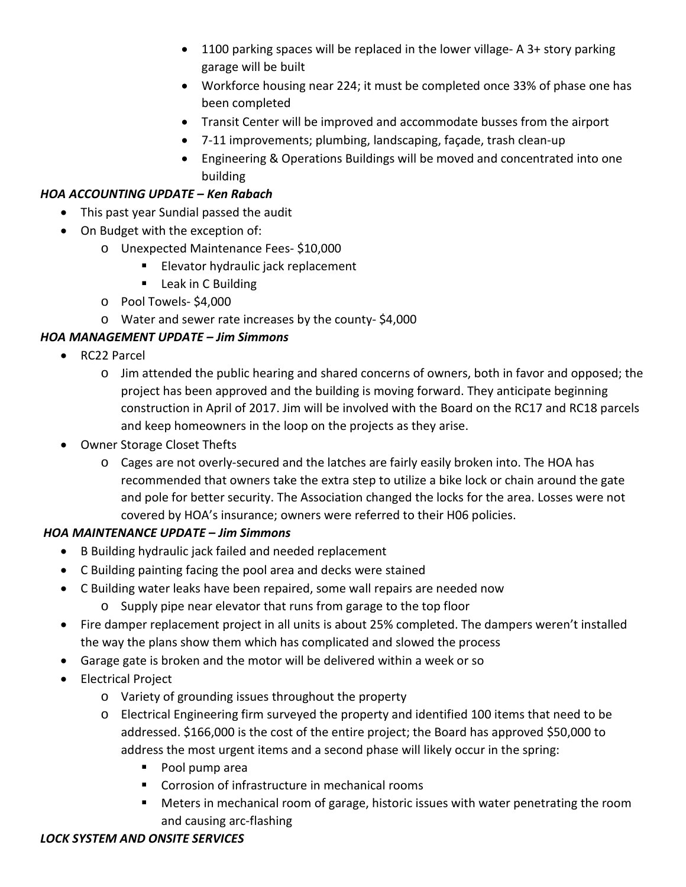- 1100 parking spaces will be replaced in the lower village- A 3+ story parking garage will be built
- Workforce housing near 224; it must be completed once 33% of phase one has been completed
- Transit Center will be improved and accommodate busses from the airport
- 7-11 improvements; plumbing, landscaping, façade, trash clean-up
- Engineering & Operations Buildings will be moved and concentrated into one building

### *HOA ACCOUNTING UPDATE – Ken Rabach*

- This past year Sundial passed the audit
- On Budget with the exception of:
	- o Unexpected Maintenance Fees- \$10,000
		- **Elevator hydraulic jack replacement**
		- **Leak in C Building**
	- o Pool Towels- \$4,000
	- o Water and sewer rate increases by the county- \$4,000

## *HOA MANAGEMENT UPDATE – Jim Simmons*

- RC22 Parcel
	- o Jim attended the public hearing and shared concerns of owners, both in favor and opposed; the project has been approved and the building is moving forward. They anticipate beginning construction in April of 2017. Jim will be involved with the Board on the RC17 and RC18 parcels and keep homeowners in the loop on the projects as they arise.
- Owner Storage Closet Thefts
	- o Cages are not overly-secured and the latches are fairly easily broken into. The HOA has recommended that owners take the extra step to utilize a bike lock or chain around the gate and pole for better security. The Association changed the locks for the area. Losses were not covered by HOA's insurance; owners were referred to their H06 policies.

## *HOA MAINTENANCE UPDATE – Jim Simmons*

- B Building hydraulic jack failed and needed replacement
- C Building painting facing the pool area and decks were stained
- C Building water leaks have been repaired, some wall repairs are needed now
	- o Supply pipe near elevator that runs from garage to the top floor
- Fire damper replacement project in all units is about 25% completed. The dampers weren't installed the way the plans show them which has complicated and slowed the process
- Garage gate is broken and the motor will be delivered within a week or so
- Electrical Project
	- o Variety of grounding issues throughout the property
	- o Electrical Engineering firm surveyed the property and identified 100 items that need to be addressed. \$166,000 is the cost of the entire project; the Board has approved \$50,000 to address the most urgent items and a second phase will likely occur in the spring:
		- Pool pump area
		- Corrosion of infrastructure in mechanical rooms
		- Meters in mechanical room of garage, historic issues with water penetrating the room and causing arc-flashing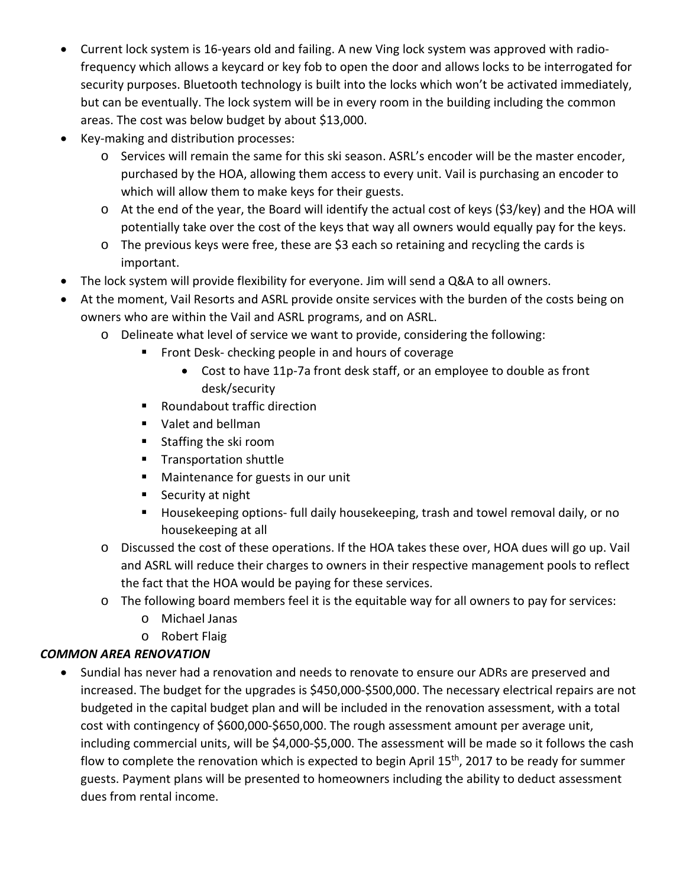- Current lock system is 16-years old and failing. A new Ving lock system was approved with radiofrequency which allows a keycard or key fob to open the door and allows locks to be interrogated for security purposes. Bluetooth technology is built into the locks which won't be activated immediately, but can be eventually. The lock system will be in every room in the building including the common areas. The cost was below budget by about \$13,000.
- Key-making and distribution processes:
	- o Services will remain the same for this ski season. ASRL's encoder will be the master encoder, purchased by the HOA, allowing them access to every unit. Vail is purchasing an encoder to which will allow them to make keys for their guests.
	- o At the end of the year, the Board will identify the actual cost of keys (\$3/key) and the HOA will potentially take over the cost of the keys that way all owners would equally pay for the keys.
	- o The previous keys were free, these are \$3 each so retaining and recycling the cards is important.
- The lock system will provide flexibility for everyone. Jim will send a Q&A to all owners.
- At the moment, Vail Resorts and ASRL provide onsite services with the burden of the costs being on owners who are within the Vail and ASRL programs, and on ASRL.
	- o Delineate what level of service we want to provide, considering the following:
		- **FICT** Front Desk- checking people in and hours of coverage
			- Cost to have 11p-7a front desk staff, or an employee to double as front desk/security
		- Roundabout traffic direction
		- **Valet and bellman**
		- Staffing the ski room
		- **Transportation shuttle**
		- **Maintenance for guests in our unit**
		- Security at night
		- Housekeeping options- full daily housekeeping, trash and towel removal daily, or no housekeeping at all
	- o Discussed the cost of these operations. If the HOA takes these over, HOA dues will go up. Vail and ASRL will reduce their charges to owners in their respective management pools to reflect the fact that the HOA would be paying for these services.
	- o The following board members feel it is the equitable way for all owners to pay for services:
		- o Michael Janas
		- o Robert Flaig

#### *COMMON AREA RENOVATION*

• Sundial has never had a renovation and needs to renovate to ensure our ADRs are preserved and increased. The budget for the upgrades is \$450,000-\$500,000. The necessary electrical repairs are not budgeted in the capital budget plan and will be included in the renovation assessment, with a total cost with contingency of \$600,000-\$650,000. The rough assessment amount per average unit, including commercial units, will be \$4,000-\$5,000. The assessment will be made so it follows the cash flow to complete the renovation which is expected to begin April 15<sup>th</sup>, 2017 to be ready for summer guests. Payment plans will be presented to homeowners including the ability to deduct assessment dues from rental income.